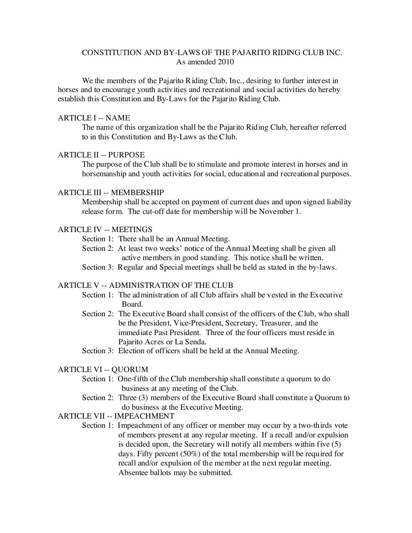# CONSTITUTION AND BY-LAWS OF THE PAJARITO RIDING CLUB INC. As amended 2010

We the members of the Pajarito Riding Club, Inc., desiring to further interest in horses and to encourage youth activities and recreational and social activities do hereby establish this Constitution and By-Laws for the Pajarito Riding Club.

### ARTICLE I -- NAME

The name of this organization shall be the Pajarito Riding Club, hereafter referred to in this Constitution and By-Laws as the Club.

#### ARTICLE II -- PURPOSE

The purpose of the Club shall be to stimulate and promote interest in horses and in horsemanship and youth activities for social, educational and recreational purposes.

# ARTICLE III -- MEMBERSHIP

Membership shall be accepted on payment of current dues and upon signed liability release form. The cut-off date for membership will be November 1.

### ARTICLE IV -- MEETINGS

Section 1: There shall be an Annual Meeting.

- Section 2: At least two weeks' notice of the Annual Meeting shall be given all active members in good standing. This notice shall be written.
- Section 3: Regular and Special meetings shall be held as stated in the by-laws.

# ARTICLE V -- ADMINISTRATION OF THE CLUB

- Section 1: The administration of all Club affairs shall be vested in the Executive Board.
- Section 2: The Executive Board shall consist of the officers of the Club, who shall be the President, Vice-President, Secretary, Treasurer, and the immediate Past President. Three of the four officers must reside in Pajarito Acres or La Senda.
- Section 3: Election of officers shall be held at the Annual Meeting.

#### ARTICLE VI -- QUORUM

- Section 1: One-fifth of the Club membership shall constitute a quorum to do business at any meeting of the Club.
- Section 2: Three (3) members of the Executive Board shall constitute a Quorum to do business at the Executive Meeting.

# ARTICLE VII -- IMPEACHMENT

Section 1: Impeachment of any officer or member may occur by a two-thirds vote of members present at any regular meeting. If a recall and/or expulsion is decided upon, the Secretary will notify all members within five (5) days. Fifty percent (50%) of the total membership will be required for recall and/or expulsion of the member at the next regular meeting. Absentee ballots may be submitted.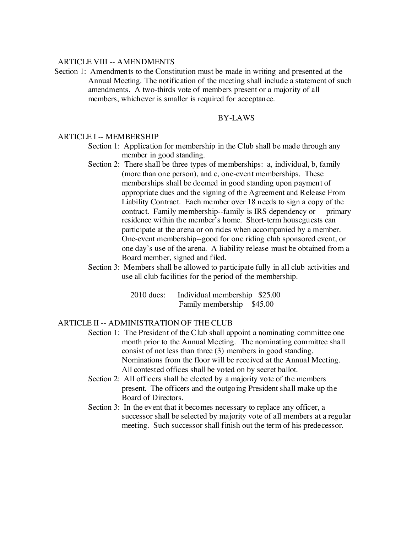#### ARTICLE VIII -- AMENDMENTS

Section 1: Amendments to the Constitution must be made in writing and presented at the Annual Meeting. The notification of the meeting shall include a statement of such amendments. A two-thirds vote of members present or a majority of all members, whichever is smaller is required for acceptance.

### BY-LAWS

#### ARTICLE I -- MEMBERSHIP

- Section 1: Application for membership in the Club shall be made through any member in good standing.
- Section 2: There shall be three types of memberships: a, individual, b, family (more than one person), and c, one-event memberships. These memberships shall be deemed in good standing upon payment of appropriate dues and the signing of the Agreement and Release From Liability Contract. Each member over 18 needs to sign a copy of the contract. Family membership--family is IRS dependency or primary residence within the member's home. Short-term houseguests can participate at the arena or on rides when accompanied by a member. One-event membership--good for one riding club sponsored event, or one day's use of the arena. A liability release must be obtained from a Board member, signed and filed.
- Section 3: Members shall be allowed to participate fully in all club activities and use all club facilities for the period of the membership.

2010 dues: Individual membership \$25.00 Family membership \$45.00

## ARTICLE II -- ADMINISTRATION OF THE CLUB

- Section 1: The President of the Club shall appoint a nominating committee one month prior to the Annual Meeting. The nominating committee shall consist of not less than three (3) members in good standing. Nominations from the floor will be received at the Annual Meeting. All contested offices shall be voted on by secret ballot.
- Section 2: All officers shall be elected by a majority vote of the members present. The officers and the outgoing President shall make up the Board of Directors.
- Section 3: In the event that it becomes necessary to replace any officer, a successor shall be selected by majority vote of all members at a regular meeting. Such successor shall finish out the term of his predecessor.